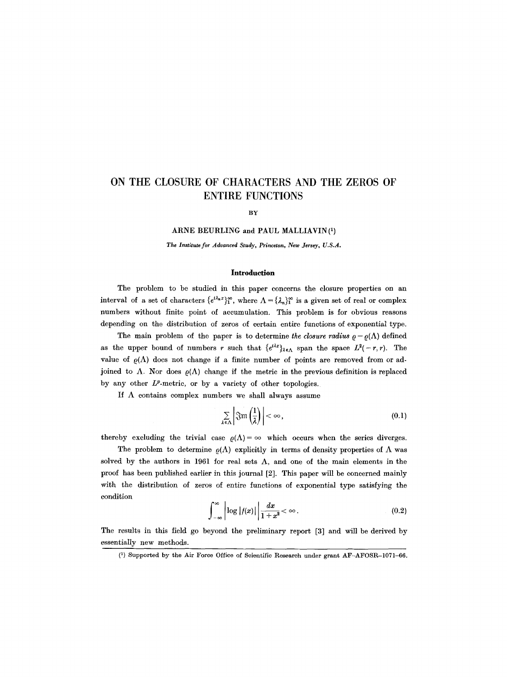# **ON THE CLOSURE OF CHARACTERS AND THE ZEROS OF ENTIRE FUNCTIONS**

BY

# ARNE BEURLING and PAUL MALLIAVIN(1)

*The Institute for Advanced Study, Princeton, New Jersey, U.S.A.* 

### **Introduction**

The problem to be studied in this paper concerns the closure properties on an interval of a set of characters  $\{e^{i\lambda_n x}\}_1^{\infty}$ , where  $\Lambda = \{\lambda_n\}_1^{\infty}$  is a given set of real or complex numbers without finite point of accumulation. This problem is for obvious reasons depending on the distribution of zeros of certain entire functions of exponential type.

The main problem of the paper is to determine *the closure radius*  $\rho = \rho(\Lambda)$  defined as the upper bound of numbers r such that  $\{e^{i\lambda x}\}_{\lambda \in \Lambda}$  span the space  $L^2(-r,r)$ . The value of  $\rho(\Lambda)$  does not change if a finite number of points are removed from or adjoined to  $\Lambda$ . Nor does  $\rho(\Lambda)$  change if the metric in the previous definition is replaced by any other  $L^p$ -metric, or by a variety of other topologies.

If  $\Lambda$  contains complex numbers we shall always assume

$$
\sum_{\lambda \in \Lambda} \left| \mathfrak{Fm} \left( \frac{1}{\lambda} \right) \right| < \infty,\tag{0.1}
$$

thereby excluding the trivial case  $\rho(\Lambda) = \infty$  which occurs when the series diverges.

The problem to determine  $\rho(\Lambda)$  explicitly in terms of density properties of  $\Lambda$  was solved by the authors in 1961 for real sets  $\Lambda$ , and one of the main elements in the proof has been published earlier in this journal [2]. This paper will be concerned mainly with the distribution of zeros of entire functions of exponential type satisfying the condition

$$
\int_{-\infty}^{\infty} \left| \log |f(x)| \right| \frac{dx}{1+x^2} < \infty.
$$
 (0.2)

The results in this field go beyond the preliminary report [3] and will be derived by essentially new methods.

<sup>(</sup>i) Supported by the Air Force Office of Scientific Research under grant AF-AFOSR-1071-66.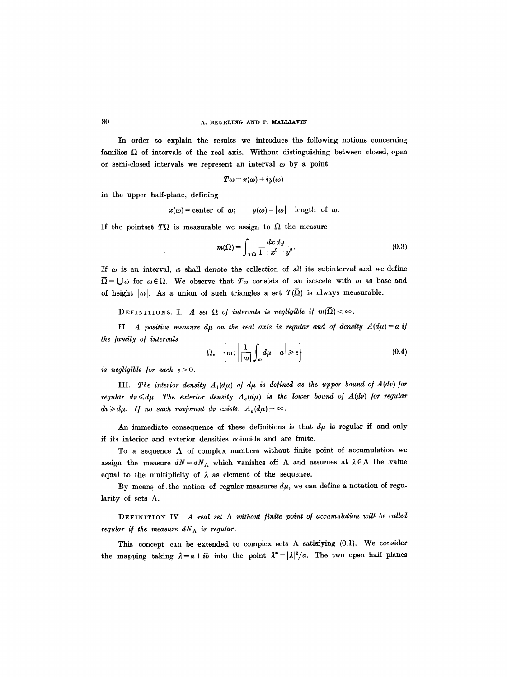### 80 **A. BEURLING AND P. MALLIAVIN**

In order to explain the results we introduce the following notions concerning families  $\Omega$  of intervals of the real axis. Without distinguishing between closed, open or semi-closed intervals we represent an interval  $\omega$  by a point

$$
T\omega = x(\omega) + iy(\omega)
$$

in the upper half-plane, defining

 $x(\omega)$ =center of  $\omega$ ;  $y(\omega) = |\omega|$ =length of  $\omega$ .

If the pointset  $T\Omega$  is measurable we assign to  $\Omega$  the measure

$$
m(\Omega) = \int_{T\Omega} \frac{dx\,dy}{1+x^2+y^2}.
$$
\n(0.3)

If  $\omega$  is an interval,  $\bar{\omega}$  shall denote the collection of all its subinterval and we define  $\overline{\Omega} = \bigcup \varpi$  for  $\omega \in \Omega$ . We observe that  $T\overline{\omega}$  consists of an isoscele with  $\omega$  as base and of height  $|\omega|$ . As a union of such triangles a set  $T(\overline{\Omega})$  is always measurable.

DEFINITIONS. I. A set  $\Omega$  of intervals is negligible if  $m(\overline{\Omega}) < \infty$ .

II. *A positive measure d<sub>u</sub>* on the real axis is regular and of density  $A(d\mu) = a$  if *the /amily o/ intervals* 

$$
\Omega_{\epsilon} = \left\{ \omega \, ; \, \left| \frac{1}{|\omega|} \int_{\omega} d\mu - a \right| \geqslant \epsilon \right\} \tag{0.4}
$$

*is negligible for each*  $\varepsilon > 0$ *.* 

III. The interior density  $A_i(d\mu)$  of  $d\mu$  is defined as the upper bound of  $A(d\nu)$  for *regular*  $dv \leq d\mu$ *. The exterior density*  $A_e(d\mu)$  *is the lower bound of*  $A(d\nu)$  *for regular*  $dv \geq d\mu$ . If no such majorant dv exists,  $A_e(d\mu) = \infty$ .

An immediate consequence of these definitions is that  $d\mu$  is regular if and only if its interior and exterior densities coincide and are finite.

To a sequence  $\Lambda$  of complex numbers without finite point of accumulation we assign the measure  $dN = dN_A$  which vanishes off  $\Lambda$  and assumes at  $\lambda \in \Lambda$  the value equal to the multiplicity of  $\lambda$  as element of the sequence.

By means of the notion of regular measures  $d\mu$ , we can define a notation of regularity of sets  $\Lambda$ .

 $\Delta$ FINITION IV. *A real set*  $\Lambda$  *without finite point of accumulation will be called regular if the measure*  $dN_A$  *is regular.* 

This concept can be extended to complex sets  $\Lambda$  satisfying (0.1). We consider the mapping taking  $\lambda = a + ib$  into the point  $\lambda^* = |\lambda|^2/a$ . The two open half planes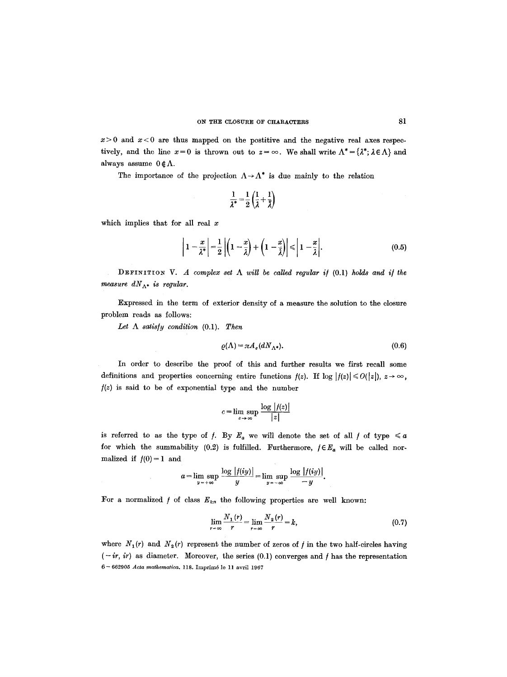$x>0$  and  $x<0$  are thus mapped on the postitive and the negative real axes respectively, and the line  $x=0$  is thrown out to  $z=\infty$ . We shall write  $\Lambda^* = {\lambda^*; \lambda \in \Lambda}$  and always assume  $0 \notin \Lambda$ .

The importance of the projection  $\Lambda \rightarrow \Lambda^*$  is due mainly to the relation

$$
\frac{1}{\lambda^*} = \frac{1}{2} \left( \frac{1}{\lambda} + \frac{1}{\overline{\lambda}} \right)
$$

which implies that for all real  $x$ 

$$
\left|1-\frac{x}{\lambda^*}\right|=\frac{1}{2}\left|\left(1-\frac{x}{\lambda}\right)+\left(1-\frac{x}{\tilde{\lambda}}\right)\right|\leq 1-\frac{x}{\lambda}.\tag{0.5}
$$

DEFINITION V. A complex set  $\Lambda$  will be called regular if (0.1) holds and if the *measure*  $dN_{\Lambda^*}$  *is regular.* 

Expressed in the term of exterior density of a measure the solution to the closure problem reads as follows:

Let  $\Lambda$  *satisfy condition* (0.1). Then

$$
\varrho(\Lambda) = \pi A_e (dN_{\Lambda^*}). \tag{0.6}
$$

In order to describe the proof of this and further results we first recall some definitions and properties concerning entire functions  $f(z)$ . If  $\log |f(z)| \le O(|z|)$ ,  $z \to \infty$ , */(z)* is said to be of exponential type and the number

$$
c = \limsup_{z \to \infty} \frac{\log |f(z)|}{|z|}
$$

is referred to as the type of f. By  $E_a$  we will denote the set of all f of type  $\leq a$ for which the summability  $(0.2)$  is fulfilled. Furthermore,  $f \in E_a$  will be called normalized if  $f(0)=1$  and

$$
a=\limsup_{y\to+\infty}\frac{\log|f(iy)|}{y}=\limsup_{y\to-\infty}\frac{\log|f(iy)|}{-y}.
$$

For a normalized  $f$  of class  $E_{k\pi}$  the following properties are well known:

$$
\lim_{r \to \infty} \frac{N_1(r)}{r} = \lim_{r \to \infty} \frac{N_2(r)}{r} = k,
$$
\n(0.7)

where  $N_1(r)$  and  $N_2(r)$  represent the number of zeros of f in the two half-circles having  $(-ir, ir)$  as diameter. Moreover, the series  $(0.1)$  converges and f has the representation 6 - 662905 *Acta mathematica.* 118. Imprim6 le I1 avril 1967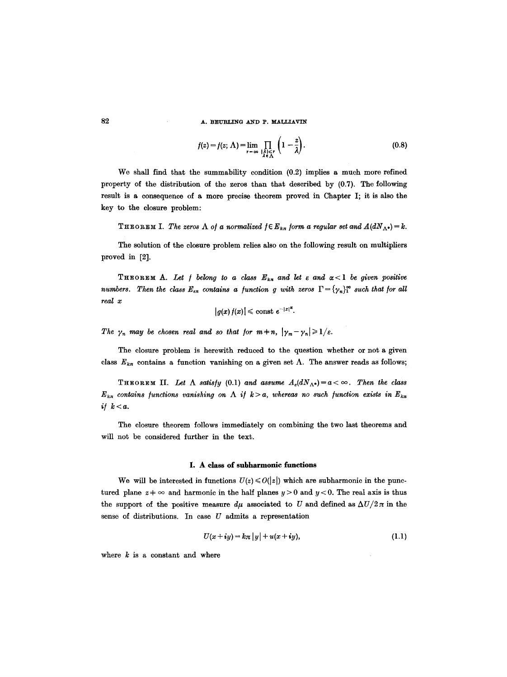## **82 A. BEURLING AND P. MALLIAVIN**

$$
f(z) = f(z; \Lambda) = \lim_{r \to \infty} \prod_{\substack{\lambda \in \Lambda \\ \lambda \in \Lambda}} \left(1 - \frac{z}{\lambda}\right).
$$
 (0.8)

 $\cdot$ 

We shall find that the summability condition (0.2) implies a much more refined property of the distribution of the zeros than that described by (0.7). The following result is a consequence of a more precise theorem proved in Chapter I; it is also the key to the closure problem:

THEOREM I. *The zeros*  $\Lambda$  *of a normalized*  $f \in E_{k,n}$  *form a regular set and*  $A(dN_{\Lambda^*})=k$ *.* 

The solution of the closure problem relies also on the following result on multipliers proved in [2].

THEOREM A. Let  $f$  belong to a class  $E_{k,\pi}$  and let  $\varepsilon$  and  $\alpha < 1$  be given positive *numbers. Then the class*  $E_{\epsilon n}$  *contains a function g with zeros*  $\Gamma = {\gamma_n}_1^{\infty}$  *such that for all real x* 

$$
|g(x) f(x)| \leq \mathrm{const} \ e^{-|x|^{\alpha}}.
$$

The  $\gamma_n$  may be chosen real and so that for  $m \neq n$ ,  $|\gamma_m - \gamma_n| \geq 1/\varepsilon$ .

The closure problem is herewith reduced to the question whether or not a given class  $E_{kn}$  contains a function vanishing on a given set  $\Lambda$ . The answer reads as follows;

THEOREM II. Let  $\Lambda$  *satisfy* (0.1) and assume  $A_e(dN_A*)=a<\infty$ . Then the class  $E_{k\pi}$  contains functions vanishing on  $\Lambda$  if  $k > a$ , whereas no such function exists in  $E_{k\pi}$ *if*  $k < a$ .

The closure theorem follows immediately on combining the two last theorems and will not be considered further in the text.

## **I. A class of subharmonic functions**

We will be interested in functions  $U(z) \leq O(|z|)$  which are subharmonic in the punctured plane  $z + \infty$  and harmonic in the half planes  $y > 0$  and  $y < 0$ . The real axis is thus the support of the positive measure  $d\mu$  associated to U and defined as  $\Delta U/2\pi$  in the sense of distributions. In case  $U$  admits a representation

$$
U(x+iy) = k\pi |y| + u(x+iy), \qquad (1.1)
$$

where  $k$  is a constant and where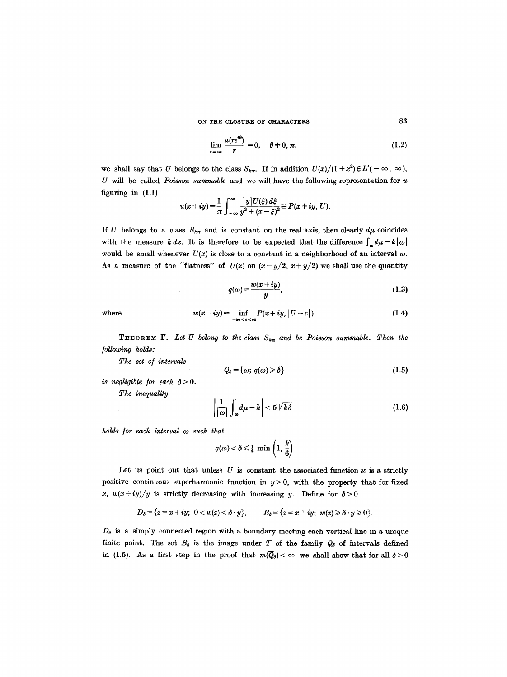ON THE CLOSURE OF CHARACTERS 83

$$
\lim_{r \to \infty} \frac{u(re^{i\theta})}{r} = 0, \quad \theta \neq 0, \pi,
$$
\n(1.2)

we shall say that U belongs to the class  $S_{k\pi}$ . If in addition  $U(x)/(1+x^2) \in L'(-\infty, \infty)$ , U will be called *Poisson summable* and we will have the following representation for u figuring in (1.1)

$$
u(x+iy)=\frac{1}{\pi}\int_{-\infty}^{\infty}\frac{|y|U(\xi)\,d\xi}{y^2+(x-\xi)^2}\equiv P(x+iy,\,U).
$$

If U belongs to a class  $S_{k\pi}$  and is constant on the real axis, then clearly  $d\mu$  coincides with the measure *k dx*. It is therefore to be expected that the difference  $\int_{\omega} d\mu - k |\omega|$ would be small whenever  $U(x)$  is close to a constant in a neighborhood of an interval  $\omega$ . As a measure of the "flatness" of  $U(x)$  on  $(x-y/2, x+y/2)$  we shall use the quantity

$$
q(\omega) = \frac{w(x+iy)}{y},\tag{1.3}
$$

where 
$$
w(x+iy) = \inf_{-\infty < c < \infty} P(x+iy, |U-c|). \tag{1.4}
$$

**THEOREM I'.** Let U belong to the class  $S_{k,n}$  and be Poisson summable. Then the */ollowing holds:* 

*The set o/ intervals* 

$$
Q_{\delta} = \{\omega; q(\omega) \geq \delta\}
$$
 (1.5)

*is negligible for each*  $\delta > 0$ *.* 

*The inequality* 

$$
\left|\frac{1}{|\omega|}\int_{\omega}d\mu - k\right| < 5\sqrt{k\delta}
$$
 (1.6)

*holds /or each interval eo such that* 

 $q(\omega) < \delta \leq \frac{1}{4} \min \left( 1, \frac{k}{6} \right).$ 

Let us point out that unless  $U$  is constant the associated function  $w$  is a strictly positive continuous superharmonic function in  $y > 0$ , with the property that for fixed x,  $w(x+iy)/y$  is strictly decreasing with increasing y. Define for  $\delta > 0$ 

$$
D_{\delta} = \{z = x + iy; \ 0 < w(z) < \delta \cdot y\}, \qquad B_{\delta} = \{z = x + iy; \ w(z) \geq \delta \cdot y \geq 0\}.
$$

 $D_{\delta}$  is a simply connected region with a boundary meeting each vertical line in a unique finite point. The set  $B_{\delta}$  is the image under T of the family  $Q_{\delta}$  of intervals defined in (1.5). As a first step in the proof that  $m(\overline{Q}_\delta) < \infty$  we shall show that for all  $\delta > 0$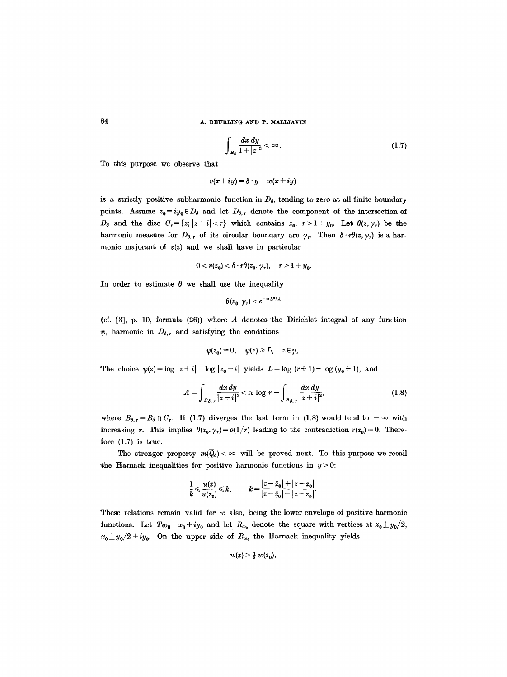$$
\int_{B_{\delta}} \frac{dx \, dy}{1+|z|^2} < \infty. \tag{1.7}
$$

To this purpose we observe that

$$
v(x+iy) = \delta \cdot y - w(x+iy)
$$

is a strictly positive subharmonic function in  $D_{\delta}$ , tending to zero at all finite boundary points. Assume  $z_0 = iy_0 \in D_{\delta}$  and let  $D_{\delta,r}$  denote the component of the intersection of  $D_{\delta}$  and the disc  $C_{r}=\{z;|z+i|< r\}$  which contains  $z_{0}$ ,  $r>1+y_{0}$ . Let  $\theta(z,\gamma_{r})$  be the harmonic measure for  $D_{\delta,r}$  of its circular boundary are  $\gamma_r$ . Then  $\delta \cdot r\theta(z, \gamma_r)$  is a harmonic majorant of *v(z)* and we shall have in particular

$$
0 < v(z_0) < \delta \cdot r\theta(z_0, \gamma_r), \quad r > 1 + y_0.
$$

In order to estimate  $\theta$  we shall use the inequality

$$
\theta(z_0,\gamma_\tau)\!<\!e^{-\pi L^2/A}
$$

(cf. [3], p. 10, formula (26)) where A denotes the Dirichlet integral of any function  $\psi$ , harmonic in  $D_{\delta,r}$  and satisfying the conditions

$$
\psi(z_0)=0, \quad \psi(z)\geqslant L, \quad z\in\gamma_r.
$$

The choice  $\psi(z) = \log |z + i| - \log |z_0 + i|$  yields  $L = \log (r + 1) - \log (y_0 + 1)$ , and

$$
A = \int_{D_{\delta,\,r}} \frac{dx \, dy}{|z + i|^2} < \pi \, \log \, r - \int_{B_{\delta,\,r}} \frac{dx \, dy}{|z + i|^2},\tag{1.8}
$$

where  $B_{\delta,r}=B_{\delta}\cap C_r$ . If (1.7) diverges the last term in (1.8) would tend to  $-\infty$  with increasing r. This implies  $\theta(z_0, \gamma_r) = o(1/r)$  leading to the contradiction  $v(z_0) = 0$ . Therefore (1.7) is true.

The stronger property  $m(\bar{Q}_\delta) < \infty$  will be proved next. To this purpose we recall the Harnack inequalities for positive harmonic functions in  $y > 0$ :

$$
\frac{1}{k} \leqslant \frac{u(z)}{u(z_0)} \leqslant k, \qquad k = \frac{|z - \bar{z}_0| + |z - z_0|}{|z - \bar{z}_0| - |z - z_0|}
$$

These relations remain valid for  $w$  also, being the lower envelope of positive harmonic functions. Let  $T\omega_0 = x_0 + iy_0$  and let  $R_{\omega_0}$  denote the square with vertices at  $x_0 \pm y_0/2$ ,  $x_0 \pm y_0/2 + iy_0$ . On the upper side of  $R_{\omega_0}$  the Harnack inequality yields

$$
w(z) > \frac{1}{2} w(z_0),
$$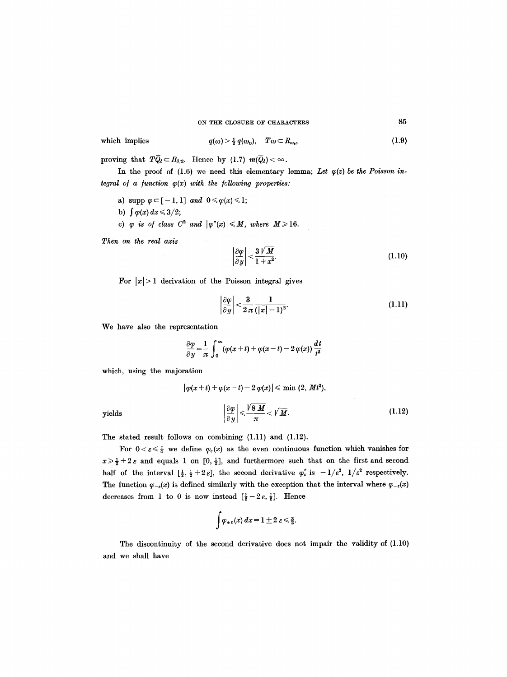which implies 
$$
q(\omega) > \frac{1}{2} q(\omega_0)
$$
,  $T\omega \subset R_{\omega_0}$ , (1.9)

proving that  $T\overline{Q}_{\delta} \subset B_{\delta/2}$ . Hence by (1.7)  $m(\overline{Q}_{\delta}) < \infty$ .

In the proof of  $(1.6)$  we need this elementary lemma; Let  $\varphi(z)$  be the Poisson in*tegral of a function*  $\varphi(x)$  *with the following properties:* 

- a) supp  $\varphi \subset [-1,1]$  *and*  $0 \leq \varphi(x) \leq 1;$
- b)  $\int \varphi(x) dx \leq 3/2;$
- c)  $\varphi$  is of class  $C^2$  and  $|\varphi''(x)| \leq M$ , where  $M \geq 16$ .

*Then on the real axis* 

$$
\left|\frac{\partial \varphi}{\partial y}\right| < \frac{3\sqrt{M}}{1+x^2}.\tag{1.10}
$$

For  $|x| > 1$  derivation of the Poisson integral gives

$$
\left|\frac{\partial \varphi}{\partial y}\right| < \frac{3}{2\pi} \frac{1}{(|x|-1)^2}.\tag{1.11}
$$

We have also the representation

$$
\frac{\partial \varphi}{\partial y} = \frac{1}{\pi} \int_0^\infty (\varphi(x+t) + \varphi(x-t) - 2 \varphi(x)) \frac{dt}{t^2}
$$

which, using the majoration

$$
\left|\varphi(x+t) + \varphi(x-t) - 2\,\varphi(x)\right| \leq \min(2, \, Mt^2),
$$
  
yields 
$$
\left|\frac{\partial \varphi}{\partial y}\right| \leq \frac{\sqrt{8\,M}}{\pi} < \sqrt{M}.\tag{1.12}
$$

The stated result follows on combining (1.11) and (1.12).

For  $0 < \varepsilon \leq \frac{1}{4}$  we define  $\varphi_{\varepsilon}(x)$  as the even continuous function which vanishes for  $x \geq \frac{1}{2} + 2 \varepsilon$  and equals 1 on  $[0, \frac{1}{2}]$ , and furthermore such that on the first and second half of the interval  $[\frac{1}{2}, \frac{1}{2}+2\varepsilon]$ , the second derivative  $\varphi_{\varepsilon}^{''}$  is  $-1/\varepsilon^2$ ,  $1/\varepsilon^2$  respectively. The function  $\varphi_{-\varepsilon}(x)$  is defined similarly with the exception that the interval where  $\varphi_{-\varepsilon}(x)$ decreases from 1 to 0 is now instead  $\left[\frac{1}{2} - 2\varepsilon, \frac{1}{2}\right]$ . Hence

$$
\int \varphi_{\pm\epsilon}(x)\,dx=1\pm 2\,\epsilon\leq \tfrac{3}{2}.
$$

The discontinuity of the second derivative does not impair the validity of (1.10) and we shall have

$$
_{\rm yields}
$$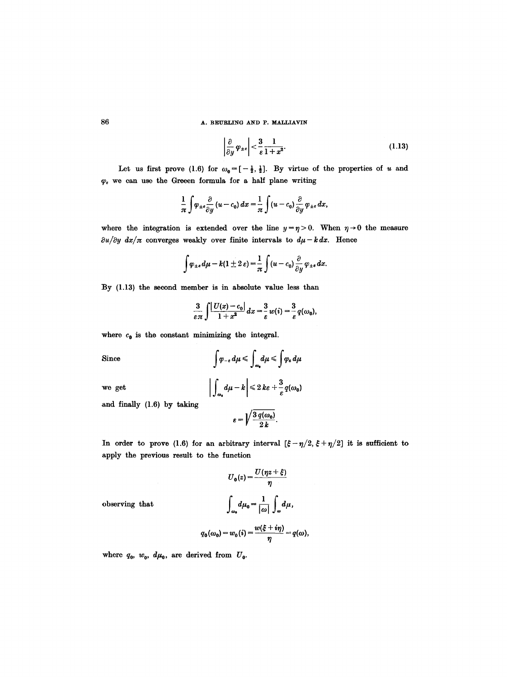$$
\left|\frac{\partial}{\partial y}\varphi_{\pm e}\right| < \frac{3}{\varepsilon} \frac{1}{1+x^2}.\tag{1.13}
$$

Let us first prove (1.6) for  $\omega_0 = [-\frac{1}{2}, \frac{1}{2}]$ . By virtue of the properties of u and  $\varphi_{\varepsilon}$  we can use the Greeen formula for a half plane writing

$$
\frac{1}{\pi}\int \varphi_{\pm\epsilon}\frac{\partial}{\partial y}(u-c_0)\,dx=\frac{1}{\pi}\int (u-c_0)\frac{\partial}{\partial y}\varphi_{\pm\epsilon}\,dx,
$$

where the integration is extended over the line  $y=\eta>0$ . When  $\eta\to 0$  the measure  $\partial u/\partial y \, dx/\pi$  converges weakly over finite intervals to  $d\mu - k \, dx$ . Hence

$$
\int \varphi_{\pm\epsilon} d\mu - k(1 \pm 2 \epsilon) = \frac{1}{\pi} \int (u - c_0) \frac{\partial}{\partial y} \varphi_{\pm\epsilon} dx.
$$

By (1.13) the second member is in absolute value less than

$$
\frac{3}{\varepsilon\pi}\int\frac{|U(x)-c_0|}{1+x^2}\,dx=\frac{3}{\varepsilon}\,w(i)=\frac{3}{\varepsilon}\,q(\omega_0),
$$

where  $c_0$  is the constant minimizing the integral.

Since 
$$
\int \varphi_{-\epsilon} d\mu \le \int_{\omega_0} d\mu \le \int \varphi_{\epsilon} d\mu
$$
  
we get 
$$
\left| \int_{\omega_0} d\mu - k \right| \le 2 k \epsilon + \frac{3}{\epsilon} q(\omega_0)
$$

and finally (1.6) by taking

$$
\varepsilon = \sqrt{\frac{3 q(\omega_0)}{2 k}}.
$$

In order to prove (1.6) for an arbitrary interval  $[\xi-\eta/2, \xi+\eta/2]$  it is sufficient to apply the previous result to the function

$$
U_0(z) = \frac{U(\eta z + \xi)}{\eta}
$$

$$
\int_{\omega_0} d\mu_0 = \frac{1}{|\omega|} \int_{\omega} d\mu,
$$

 $observing$  that

$$
q_0(\omega_0) = w_0(i) = \frac{w(\xi + i\eta)}{\eta} = q(\omega),
$$

where  $q_0$ ,  $w_0$ ,  $d\mu_0$ , are derived from  $U_0$ .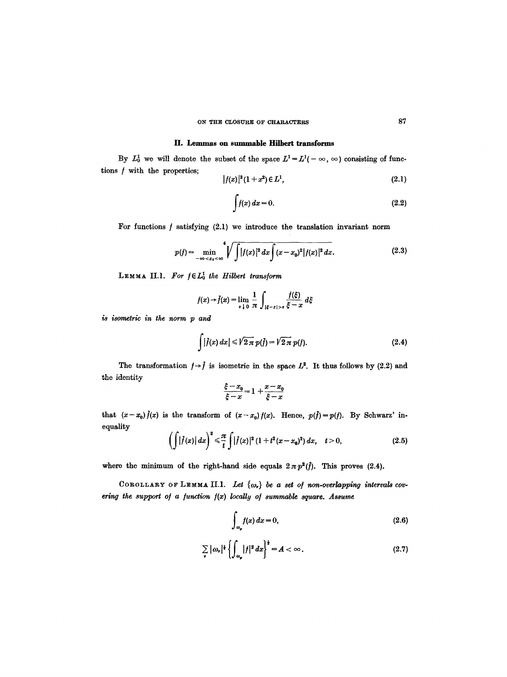## ON THE CLOSURE OF CHARACTERS 87

## **H.** Lemmas on summable Hilbert transforms

By  $L_0^1$  we will denote the subset of the space  $L^1 = L^1(-\infty, \infty)$  consisting of functions  $f$  with the properties;

$$
|f(x)|^2(1+x^2) \in L^1,
$$
\n(2.1)

$$
\int f(x) \, dx = 0. \tag{2.2}
$$

For functions  $f$  satisfying (2.1) we introduce the translation invariant norm

$$
p(f) = \min_{-\infty < x_0 < \infty} \sqrt[4]{\int |f(x)|^2 \, dx \int (x - x_0)^2 |f(x)|^2 \, dx}.\tag{2.3}
$$

LEMMA II.1. For  $f \in L_0^1$  the Hilbert transform

$$
f(x) \rightarrow \hat{f}(x) = \lim_{\varepsilon \downarrow 0} \frac{1}{\pi} \int_{|\xi - x| > \varepsilon} \frac{f(\xi)}{\xi - x} d\xi
$$

*is isometric in the norm p and* 

$$
\int |f(x) dx| \leqslant \sqrt{2\pi} p(\tilde{f}) = \sqrt{2\pi} p(f).
$$
 (2.4)

The transformation  $f \rightarrow \hat{f}$  is isometric in the space  $L^2$ . It thus follows by (2.2) and the identity

$$
\frac{\xi - x_0}{\xi - x} = 1 + \frac{x - x_0}{\xi - x}
$$

that  $(x-x_0)$ *f*(*x*) is the transform of  $(x-x_0)$ *f*(*x*). Hence,  $p(f) = p(f)$ . By Schwarz' inequality

$$
\left(\int |f(x)| dx\right)^2 \leq \frac{\pi}{t} \int |f(x)|^2 (1+t^2(x-x_0)^2) dx, \quad t>0,
$$
\n(2.5)

where the minimum of the right-hand side equals  $2 \pi p^2(f)$ . This proves (2.4).

COROLLARY OF LEMMA II.1. Let  ${ω_*}$  *be a set of non-overlapping intervals cov*ering the support of a function  $f(x)$  locally of summable square. Assume

$$
\int_{\omega_p} f(x) dx = 0,
$$
\n(2.6)

$$
\sum_{\nu} |\omega_{\nu}|^{\frac{1}{2}} \left\{ \int_{\omega_{\nu}} |f|^2 dx \right\}^{\frac{1}{2}} = A < \infty.
$$
 (2.7)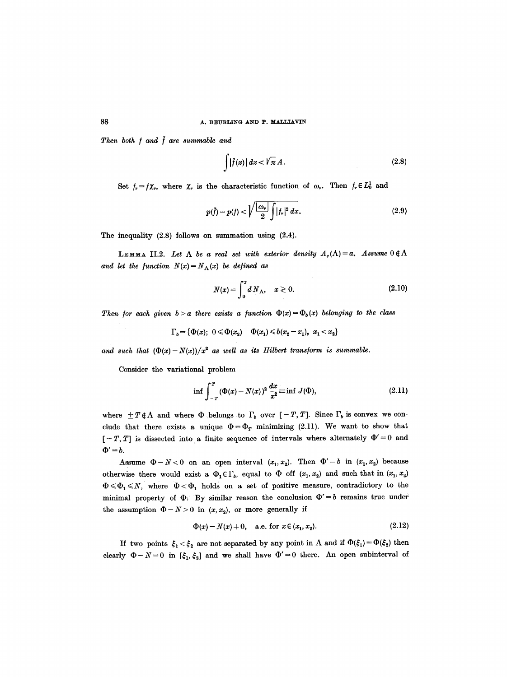*Then both*  $f$  *and*  $\bar{f}$  *are summable and* 

$$
\int |f(x)| dx < \sqrt{\pi} A. \tag{2.8}
$$

Set  $f_r=f\chi_r$ , where  $\chi_r$  is the characteristic function of  $\omega_r$ . Then  $f_r \in L_0^1$  and

$$
p(\tilde{f}) = p(f) < \sqrt{\frac{|\omega_r|}{2} \int |f_r|^2 \, dx}.\tag{2.9}
$$

The inequality (2.8) follows on summation using (2.4).

LEMMA II.2. Let  $\Lambda$  be a real set with exterior density  $A_e(\Lambda)=a$ . Assume  $0 \notin \Lambda$ and let the function  $N(x) = N_h(x)$  be defined as

$$
N(x) = \int_0^x dN_{\Lambda}, \quad x \ge 0.
$$
 (2.10)

*Then for each given b > a there exists a function*  $\Phi(x) = \Phi_b(x)$  *belonging to the class* 

$$
\Gamma_b = \{ \Phi(x); \ 0 \leq \Phi(x_2) - \Phi(x_1) \leq b(x_2 - x_1), \ x_1 < x_2 \}
$$

and such that  $(\Phi(x)-N(x))/x^2$  as well as its Hilbert transform is summable.

Consider the variational problem

$$
\inf \int_{-T}^{T} (\Phi(x) - N(x))^2 \, \frac{dx}{x^2} \equiv \inf J(\Phi), \tag{2.11}
$$

where  $\pm T \notin \Lambda$  and where  $\Phi$  belongs to  $\Gamma_b$  over  $[-T, T]$ . Since  $\Gamma_b$  is convex we conclude that there exists a unique  $\Phi = \Phi_T$  minimizing (2.11). We want to show that  $[-T, T]$  is dissected into a finite sequence of intervals where alternately  $\Phi' = 0$  and  $\Phi' = b$ .

Assume  $\Phi - N < 0$  on an open interval  $(x_1, x_2)$ . Then  $\Phi' = b$  in  $(x_1, x_2)$  because otherwise there would exist a  $\Phi_1 \in \Gamma_b$ , equal to  $\Phi$  off  $(x_1, x_2)$  and such that in  $(x_1, x_2)$  $\Phi \leq \Phi_1 \leq N$ , where  $\Phi < \Phi_1$  holds on a set of positive measure, contradictory to the minimal property of  $\Phi$ . By similar reason the conclusion  $\Phi' = b$  remains true under the assumption  $\Phi - N > 0$  in  $(x, x_2)$ , or more generally if

$$
\Phi(x) - N(x) + 0, \quad \text{a.e. for } x \in (x_1, x_2). \tag{2.12}
$$

If two points  $\xi_1 < \xi_2$  are not separated by any point in  $\Lambda$  and if  $\Phi(\xi_1) = \Phi(\xi_2)$  then clearly  $\Phi - N = 0$  in  $[\xi_1, \xi_2]$  and we shall have  $\Phi' = 0$  there. An open subinterval of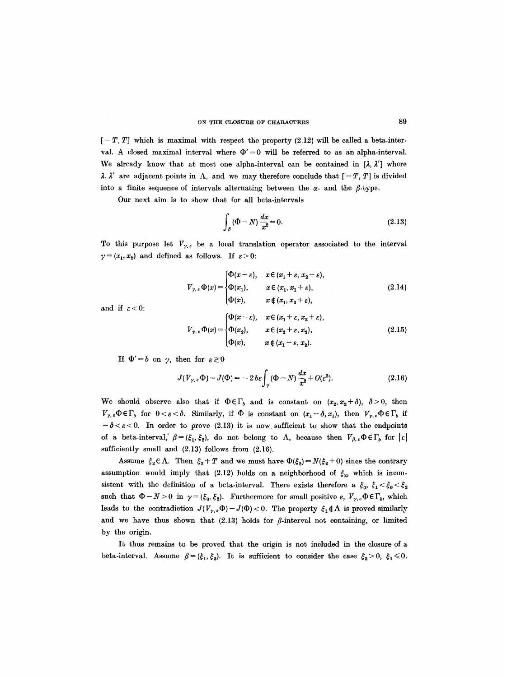#### ON THE CLOSURE OF CHARACTERS 89

 $[-T, T]$  which is maximal with respect the property (2.12) will be called a beta-interval. A closed maximal interval where  $\Phi' = 0$  will be referred to as an alpha-interval. We already know that at most one alpha-interval can be contained in  $[\lambda, \lambda']$  where  $\lambda$ ,  $\lambda'$  are adjacent points in  $\Lambda$ , and we may therefore conclude that  $[-T, T]$  is divided into a finite sequence of intervals alternating between the  $\alpha$ - and the  $\beta$ -type.

Our next aim is to show that for all beta-intervals

$$
\int_{\beta} (\Phi - N) \frac{dx}{x^2} = 0.
$$
\n(2.13)

To this purpose let  $V_{\gamma,\varepsilon}$  be a local translation operator associated to the interval  $\gamma = (x_1, x_2)$  and defined as follows. If  $\varepsilon > 0$ :

$$
V_{\gamma,\varepsilon} \Phi(x) = \begin{cases} \Phi(x-\varepsilon), & x \in (x_1+\varepsilon, x_2+\varepsilon), \\ \Phi(x_1), & x \in (x_1, x_1+\varepsilon), \\ \Phi(x), & x \notin (x_1, x_2+\varepsilon), \end{cases}
$$
(2.14)

and if  $\varepsilon < 0$ :

$$
V_{\gamma,\epsilon}\Phi(x) = \begin{cases} \Phi(x-\epsilon), & x \in (x_1+\epsilon, x_2+\epsilon), \\ \Phi(x_2), & x \in (x_2+\epsilon, x_2), \\ \Phi(x), & x \notin (x_1+\epsilon, x_2). \end{cases}
$$
(2.15)

If  $\Phi' = b$  on  $\gamma$ , then for  $\varepsilon \geq 0$ 

$$
J(V_{\gamma,\epsilon}\Phi) - J(\Phi) = -2\,\hbar\epsilon \int_{\gamma} (\Phi - N) \frac{dx}{x^2} + O(\epsilon^2). \tag{2.16}
$$

We should observe also that if  $\Phi \in \Gamma_b$  and is constant on  $(x_2, x_2 + \delta)$ ,  $\delta > 0$ , then  $V_{\gamma,\varepsilon}\Phi\in\Gamma_b$  for  $0<\varepsilon<\delta$ . Similarly, if  $\Phi$  is constant on  $(x_1-\delta,x_1)$ , then  $V_{\gamma,\varepsilon}\Phi\in\Gamma_b$  if  $-\delta < \varepsilon < 0$ . In order to prove (2.13) it is now sufficient to show that the endpoints of a beta-interval,<sup>'</sup>  $\beta = (\xi_1, \xi_2)$ , do not belong to  $\Lambda$ , because then  $V_{\beta,\varepsilon} \Phi \in \Gamma_b$  for  $|\varepsilon|$ sufficiently small and (2.13) follows from (2.16).

Assume  $\xi_2 \in \Lambda$ . Then  $\xi_2 + T$  and we must have  $\Phi(\xi_2) = N(\xi_2 + 0)$  since the contrary assumption would imply that (2.12) holds on a neighborhood of  $\xi_2$ , which is inconsistent with the definition of a beta-interval. There exists therefore a  $\xi_0$ ,  $\xi_1 < \xi_0 < \xi_2$ such that  $\Phi-N>0$  in  $\gamma=(\xi_0,\xi_2)$ . Furthermore for small positive  $\varepsilon$ ,  $V_{\gamma,\varepsilon}\Phi\in\Gamma_b$ , which leads to the contradiction  $J(V_{\gamma,\epsilon}\Phi) - J(\Phi) < 0$ . The property  $\xi_1 \notin \Lambda$  is proved similarly and we have thus shown that  $(2.13)$  holds for  $\beta$ -interval not containing, or limited by the origin.

It thus remains to be proved that the origin is not included in the closure of a beta-interval. Assume  $\beta = (\xi_1, \xi_2)$ . It is sufficient to consider the case  $\xi_2 > 0$ ,  $\xi_1 \le 0$ .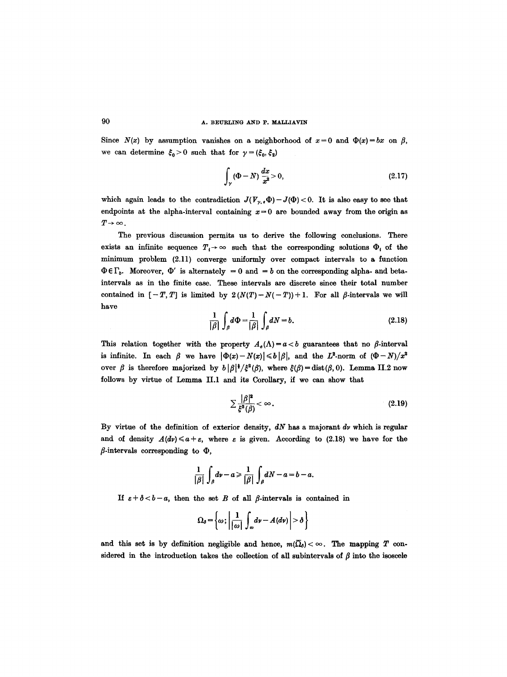Since  $N(x)$  by assumption vanishes on a neighborhood of  $x=0$  and  $\Phi(x)=bx$  on  $\beta$ , we can determine  $\zeta_0 > 0$  such that for  $\gamma = (\xi_0, \xi_2)$ 

$$
\int_{\gamma} (\Phi - N) \frac{dx}{x^2} > 0,
$$
\n(2.17)

which again leads to the contradiction  $J(V_{\gamma,*}\Phi) - J(\Phi) < 0$ . It is also easy to see that endpoints at the alpha-interval containing  $x=0$  are bounded away from the origin as  $T \rightarrow \infty$ .

The previous discussion permits us to derive the following conclusions. There exists an infinite sequence  $T_i \rightarrow \infty$  such that the corresponding solutions  $\Phi_i$  of the minimum problem (2.11) converge nniformly over compact intervals to a function  $\Phi \in \Gamma_b$ . Moreover,  $\Phi'$  is alternately = 0 and = b on the corresponding alpha- and betaintervals as in the finite case. These intervals are discrete since their total number contained in  $[-T, T]$  is limited by  $2(N(T)-N(-T))+1$ . For all  $\beta$ -intervals we will have

$$
\frac{1}{|\beta|} \int_{\beta} d\Phi = \frac{1}{|\beta|} \int_{\beta} dN = b. \tag{2.18}
$$

This relation together with the property  $A_e(\Lambda)=a$  guarantees that no  $\beta$ -interval is infinite. In each  $\beta$  we have  $|\Phi(x)-N(x)| \leq b |\beta|$ , and the  $L^2$ -norm of  $(\Phi-N)/x^2$ over  $\beta$  is therefore majorized by  $b |\beta|^{\frac{1}{2}} \zeta^2(\beta)$ , where  $\xi(\beta) = \text{dist}(\beta, 0)$ . Lemma II.2 now follows by virtue of Lemma II.1 and its Corollary, if we can show that

$$
\sum \frac{|\beta|^2}{\xi^2(\beta)} < \infty. \tag{2.19}
$$

By virtue of the definition of exterior density,  $dN$  has a majorant  $dv$  which is regular and of density  $A(d\nu) \leq a + \varepsilon$ , where  $\varepsilon$  is given. According to (2.18) we have for the  $\beta$ -intervals corresponding to  $\Phi$ ,

$$
\frac{1}{|\beta|}\int_{\beta}dv-a\geqslant \frac{1}{|\beta|}\int_{\beta}dN-a=b-a.
$$

If  $\varepsilon + \delta < b-a$ , then the set B of all  $\beta$ -intervals is contained in

$$
\Omega_{\delta} = \left\{\omega; \left|\frac{1}{|\omega|}\int_{\omega}d\nu - A(d\nu)\right| > \delta\right\}
$$

and this set is by definition negligible and hence,  $m(\overline{\Omega}_{0})<\infty$ . The mapping T considered in the introduction takes the collection of all subintervals of  $\beta$  into the isoscele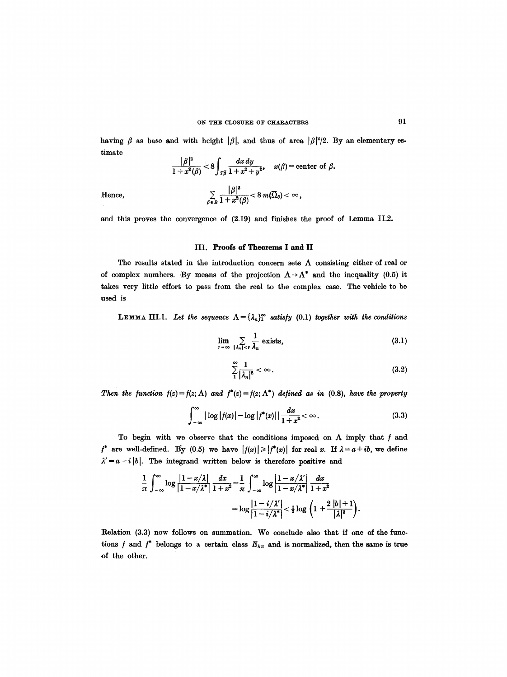having  $\beta$  as base and with height  $|\beta|$ , and thus of area  $|\beta|^2/2$ . By an elementary estimate

$$
\frac{|\beta|^2}{1+x^2(\beta)} < 8 \int_{T\overline{\beta}} \frac{dx \, dy}{1+x^2+y^2}, \quad x(\beta) = \text{center of } \beta.
$$
  
Hence,  

$$
\sum_{\beta \in B} \frac{|\beta|^2}{1+x^2(\beta)} < 8 \, m(\overline{\Omega}_{\delta}) < \infty,
$$

and this proves the convergence of (2.19) and finishes the proof of Lemma II.2.

# **III. Proofs of Theorems I and lI**

The results stated in the introduction concern sets  $\Lambda$  consisting either of real or of complex numbers. By means of the projection  $\Lambda \rightarrow \Lambda^*$  and the inequality (0.5) it takes very little effort to pass from the real to the complex case. The vehicle to be used is

**LEMMA III.1.** Let the sequence  $\Lambda = {\lambda_n}_1^{\infty}$  satisfy (0.1) together with the conditions

$$
\lim_{r \to \infty} \sum_{|\lambda_n| < r} \frac{1}{\lambda_n} \text{ exists,} \tag{3.1}
$$

$$
\sum_{1}^{\infty} \frac{1}{|\lambda_n|^2} < \infty \tag{3.2}
$$

*Then the function*  $f(z) = f(z; \Lambda)$  *and*  $f^*(z) = f(z; \Lambda^*)$  *defined as in (0.8), have the property* 

$$
\int_{-\infty}^{\infty} |\log |f(x)| - \log |f^*(x)| \, \frac{dx}{1+x^2} < \infty. \tag{3.3}
$$

To begin with we observe that the conditions imposed on  $\Lambda$  imply that  $f$  and  $f^*$  are well-defined. By (0.5) we have  $|f(x)| \geq |f^*(x)|$  for real x. If  $\lambda = a + ib$ , we define  $\lambda' = a - i |b|$ . The integrand written below is therefore positive and

$$
\frac{1}{\pi}\int_{-\infty}^{\infty}\log\frac{|1-x/\lambda|}{|1-x/\lambda^*|}\frac{dx}{1+x^2}=\frac{1}{\pi}\int_{-\infty}^{\infty}\log\frac{|1-x/\lambda'|}{|1-x/\lambda^*|}\frac{dx}{1+x^2}
$$

$$
=\log\frac{|1-i/\lambda'|}{|1-i/\lambda^*|}<\frac{1}{2}\log\left(1+\frac{2|b|+1}{|\lambda|^2}\right).
$$

Relation (3.3) now follows on summation. We conclude also that if one of the functions f and  $f^*$  belongs to a certain class  $E_{k\pi}$  and is normalized, then the same is true of the other.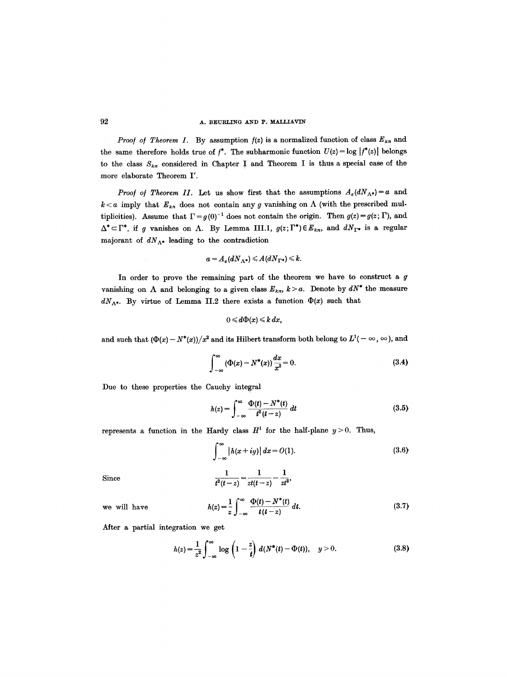*Proof of Theorem I.* By assumption  $f(z)$  is a normalized function of class  $E_{k,n}$  and the same therefore holds true of  $f^*$ . The subharmonic function  $U(z) = \log |f^*(z)|$  belongs to the class  $S_{k\pi}$  considered in Chapter I and Theorem I is thus a special case of the more elaborate Theorem I'.

*Proof of Theorem II.* Let us show first that the assumptions  $A_e(dN_{\Lambda^*})=a$  and  $k < a$  imply that  $E_{k,n}$  does not contain any g vanishing on  $\Lambda$  (with the prescribed multiplicities). Assume that  $\Gamma = g(0)^{-1}$  does not contain the origin. Then  $g(z) = g(z; \Gamma)$ , and  $\Delta^* \subset \Gamma^*$ , if g vanishes on  $\Lambda$ . By Lemma III.1,  $g(z; \Gamma^*) \in E_{k,n}$ , and  $dN_{\Gamma^*}$  is a regular majorant of  $dN_{\Lambda^*}$  leading to the contradiction

$$
a=A_e(dN_{\Lambda^*})\leqslant A(dN_{\Gamma^*})\leqslant k.
$$

In order to prove the remaining part of the theorem we have to construct a  $g$ vanishing on  $\Lambda$  and belonging to a given class  $E_{k,n}$ ,  $k > a$ . Denote by  $dN^*$  the measure  $dN_{\Lambda^*}$ . By virtue of Lemma II.2 there exists a function  $\Phi(x)$  such that

$$
0\leqslant d\Phi(x)\leqslant k\,dx,
$$

and such that  $(\Phi(x) - N^*(x))/x^2$  and its Hilbert transform both belong to  $L^1(-\infty, \infty)$ , and

$$
\int_{-\infty}^{\infty} (\Phi(x) - N^*(x)) \frac{dx}{x^2} = 0.
$$
 (3.4)

Due to these properties the Cauchy integral

$$
h(z) = \int_{-\infty}^{\infty} \frac{\Phi(t) - N^*(t)}{t^2(t - z)} dt
$$
 (3.5)

represents a function in the Hardy class  $H^1$  for the half-plane  $y > 0$ . Thus,

$$
\int_{-\infty}^{\infty} |h(x+iy)| dx = O(1). \tag{3.6}
$$

Since 
$$
\frac{1}{t^2(t-z)} = \frac{1}{zt(t-z)} - \frac{1}{zt^2},
$$

we will have 
$$
h(z) = \frac{1}{z} \int_{-\infty}^{\infty} \frac{\Phi(t) - N^*(t)}{t(t-z)} dt.
$$
 (3.7)

After a partial integration we get

$$
h(z) = \frac{1}{z^2} \int_{-\infty}^{\infty} \log \left( 1 - \frac{z}{t} \right) d(N^*(t) - \Phi(t)), \quad y > 0.
$$
 (3.8)